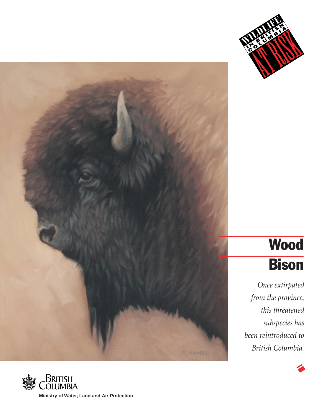

# **Wood Bison**

*Once extirpated from the province, this threatened subspecies has been reintroduced to British Columbia.*

M HAMES



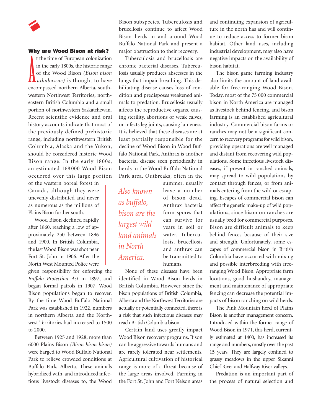

## Why are Wood Bison at risk?

A<sup>T</sup> t the time of European colonization in the early 1800s, the historic range of the Wood Bison *(Bison bison athabascae)* is thought to have encompassed northern Alberta, southwestern Northwest Territories, northeastern British Columbia and a small portion of northwestern Saskatchewan. Recent scientific evidence and oral history accounts indicate that most of the previously defined prehistoric range, including northwestern British Columbia, Alaska and the Yukon, should be considered historic Wood Bison range. In the early 1800s, an estimated 168 000 Wood Bison occurred over this large portion

of the western boreal forest in Canada, although they were unevenly distributed and never as numerous as the millions of Plains Bison further south.

Wood Bison declined rapidly after 1860, reaching a low of approximately 250 between 1896 and 1900. In British Columbia, the last Wood Bison was shot near Fort St. John in 1906. After the North West Mounted Police were

given responsibility for enforcing the *Buffalo Protection Act* in 1897, and began formal patrols in 1907, Wood Bison populations began to recover. By the time Wood Buffalo National Park was established in 1922, numbers in northern Alberta and the Northwest Territories had increased to 1500 to 2000.

Between 1925 and 1928, more than 6000 Plains Bison *(Bison bison bison)* were barged to Wood Buffalo National Park to relieve crowded conditions at Buffalo Park, Alberta. These animals hybridized with, and introduced infectious livestock diseases to, the Wood

Bison subspecies. Tuberculosis and brucellosis continue to affect Wood Bison herds in and around Wood Buffalo National Park and present a major obstruction to their recovery.

Tuberculosis and brucellosis are chronic bacterial diseases. Tuberculosis usually produces abscesses in the lungs that impair breathing. This debilitating disease causes loss of condition and predisposes weakened animals to predation. Brucellosis usually affects the reproductive organs, causing sterility, abortions or weak calves, or infects leg joints, causing lameness. It is believed that these diseases are at least partially responsible for the decline of Wood Bison in Wood Buffalo National Park. Anthrax is another bacterial disease seen periodically in herds in the Wood Buffalo National Park area. Outbreaks, often in the

*Also known as buffalo, bison are the largest wild land animals in North America.*

summer, usually leave a number of bison dead. Anthrax bacteria form spores that can survive for years in soil or water. Tuberculosis, brucellosis and anthrax can be transmitted to humans.

None of these diseases have been identified in Wood Bison herds in British Columbia. However, since the bison populations of British Columbia, Alberta and the Northwest Territories are actually or potentially connected, there is a risk that such infectious diseases may reach British Columbia bison.

Certain land uses greatly impact Wood Bison recovery programs. Bison can be aggressive towards humans and are rarely tolerated near settlements. Agricultural cultivation of historical range is more of a threat because of the large areas involved. Farming in the Fort St. John and Fort Nelson areas and continuing expansion of agriculture in the north has and will continue to reduce access to former bison habitat. Other land uses, including industrial development, may also have negative impacts on the availability of bison habitat.

The bison game farming industry also limits the amount of land available for free-ranging Wood Bison. Today, most of the 75 000 commercial bison in North America are managed as livestock behind fencing, and bison farming is an established agricultural industry. Commercial bison farms or ranches may not be a significant concern to recovery programs for wild bison, providing operations are well managed and distant from recovering wild populations. Some infectious livestock diseases, if present in ranched animals, may spread to wild populations by contact through fences, or from animals entering from the wild or escaping. Escapes of commercial bison can affect the genetic make-up of wild populations, since bison on ranches are usually bred for commercial purposes. Bison are difficult animals to keep behind fences because of their size and strength. Unfortunately, some escapes of commercial bison in British Columbia have occurred with mixing and possible interbreeding with freeranging Wood Bison. Appropriate farm locations, good husbandry, management and maintenance of appropriate fencing can decrease the potential impacts of bison ranching on wild herds.

The Pink Mountain herd of Plains Bison is another management concern. Introduced within the former range of Wood Bison in 1971, this herd, currently estimated at 1400, has increased its range and numbers, mostly over the past 15 years. They are largely confined to grassy meadows in the upper Sikanni Chief River and Halfway River valleys.

Predation is an important part of the process of natural selection and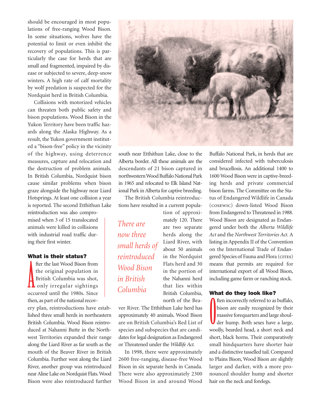should be encouraged in most populations of free-ranging Wood Bison. In some situations, wolves have the potential to limit or even inhibit the recovery of populations. This is particularly the case for herds that are small and fragmented, impaired by disease or subjected to severe, deep-snow winters. A high rate of calf mortality by wolf predation is suspected for the Nordquist herd in British Columbia.

Collisions with motorized vehicles can threaten both public safety and bison populations. Wood Bison in the Yukon Territory have been traffic hazards along the Alaska Highway. As a result, the Yukon government instituted a "bison-free" policy in the vicinity of the highway, using deterrence measures, capture and relocation and the destruction of problem animals. In British Columbia, Nordquist bison cause similar problems when bison graze alongside the highway near Liard Hotsprings. At least one collision a year is reported. The second Etthithun Lake reintroduction was also compro-

mised when 3 of 15 translocated animals were killed in collisions with industrial road traffic during their first winter.

### What is their status?

Figure 12 and 12 and 12 and 13 and 13 and 14 and 15 and 16 and 17 and 18 and 18 and 18 and 18 and 18 and 18 and 18 and 18 and 18 and 18 and 18 and 18 and 18 and 18 and 18 and 18 and 18 and 18 and 18 and 18 and 18 and 18 an fter the last Wood Bison from the original population in British Columbia was shot, occurred until the 1980s. Since then, as part of the national recov-

ery plan, reintroductions have established three small herds in northeastern British Columbia. Wood Bison reintroduced at Nahanni Butte in the Northwest Territories expanded their range along the Liard River as far south as the mouth of the Beaver River in British Columbia. Further west along the Liard River, another group was reintroduced near Aline Lake on Nordquist Flats.Wood Bison were also reintroduced further



south near Etthithun Lake, close to the Alberta border. All these animals are the descendants of 21 bison captured in northwestern Wood Buffalo National Park in 1965 and relocated to Elk Island National Park in Alberta for captive breeding.

The British Columbia reintroductions have resulted in a current popula-

*There are now three small herds of reintroduced Wood Bison in British Columbia*

tion of approximately 120. There are two separate herds along the Liard River, with about 50 animals in the Nordquist Flats herd and 30 in the portion of the Nahanni herd that lies within British Columbia, north of the Bea-

ver River. The Etthithun Lake herd has approximately 40 animals. Wood Bison are on British Columbia's Red List of species and subspecies that are candidates for legal designation as Endangered or Threatened under the *Wildlife Act.*

In 1998, there were approximately 2600 free-ranging, disease-free Wood Bison in six separate herds in Canada. There were also approximately 2300 Wood Bison in and around Wood

Buffalo National Park, in herds that are considered infected with tuberculosis and brucellosis. An additional 1400 to 1600 Wood Bison were in captive-breeding herds and private commercial bison farms. The Committee on the Status of Endangered Wildlife in Canada (COSEWIC) down-listed Wood Bison from Endangered to Threatened in 1988. Wood Bison are designated as Endangered under both the *Alberta Wildlife Act* and the *Northwest Territories Act.* A listing in Appendix II of the Convention on the International Trade of Endangered Species of Fauna and Flora (CITES) means that permits are required for international export of all Wood Bison, including game farm or ranching stock.

#### What do they look like?

The determined the set of the incorrectly referred to as buffalo,<br>bison are easily recognized by their<br>massive forequarters and large shoul-<br>der hump. Both sexes have a large, ften incorrectly referred to as buffalo, bison are easily recognized by their massive forequarters and large shoulwoolly, bearded head, a short neck and short, black horns. Their comparatively small hindquarters have shorter hair and a distinctive tasselled tail. Compared to Plains Bison, Wood Bison are slightly larger and darker, with a more pronounced shoulder hump and shorter hair on the neck and forelegs.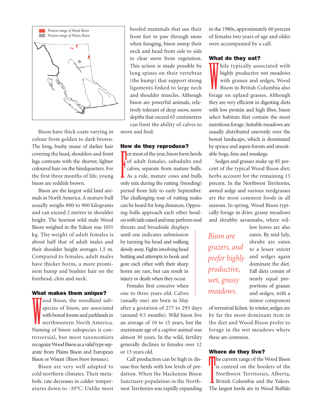

Bison have thick coats varying in colour from golden to dark brown. The long, bushy mane of darker hair covering the head, shoulders and front legs contrasts with the shorter, lighter coloured hair on the hindquarters. For the first three months of life, young bison are reddish brown.

Bison are the largest wild land animals in North America. A mature bull usually weighs 800 to 900 kilograms and can exceed 2 metres in shoulder height. The heaviest wild male Wood Bison weighed in the Yukon was 1031 kg. The weight of adult females is about half that of adult males and their shoulder height averages 1.5 m. Compared to females, adult males have thicker horns, a more prominent hump and bushier hair on the forehead, chin and neck.

#### What makes them unique?

W ood Bison, the woodland subspecies of bison, are associated with boreal forests and parklands in northwestern North America. Naming of bison subspecies is controversial, but most taxonomists recognize Wood Bison as a valid type separate from Plains Bison and European Bison or Wisent *(Bison bison bonasus).*

Bison are very well adapted to cold northern climates. Their metabolic rate decreases in colder temperatures down to -30°C. Unlike most hoofed mammals that use their front feet to paw through snow when foraging, bison sweep their neck and head from side to side to clear snow from vegetation. This action is made possible by long spines on their vertebrae (the hump) that support strong ligaments linked to large neck and shoulder muscles. Although bison are powerful animals, relatively tolerant of deep snow, snow depths that exceed 65 centimetres can limit the ability of calves to

move and feed.

#### How do they reproduce?

T<br>|<br>| or most of the year,bison form herds of adult females, subadults and calves, separate from mature bulls. As a rule, mature cows and bulls only mix during the rutting (breeding) period from July to early September. The challenging roar of rutting males can be heard for long distances. Opposing bulls approach each other headon with tails raised and may perform nod

threats and broadside displays until one indicates submission by turning his head and walking slowly away. Fights involving head butting and attempts to hook and gore each other with their sharp horns are rare, but can result in injury or death when they occur.

Females first conceive when one to three years old. Calves (usually one) are born in May after a gestation of 277 to 293 days (around 9.5 months). Wild bison live an average of 10 to 15 years, but the maximum age of a captive animal was almost 30 years. In the wild, fertility generally declines in females over 12 or 13 years old.

Calf production can be high in disease-free herds with low levels of predation. When the Mackenzie Bison Sanctuary population in the Northwest Territories was rapidly expanding in the 1980s, approximately 60 percent of females two years of age and older were accompanied by a calf.

#### What do they eat?

W hile typically associated with highly productive wet meadows with grasses and sedges, Wood Bison in British Columbia also forage on upland grasses. Although they are very efficient in digesting diets with low protein and high fibre, bison select habitats that contain the most nutritious forage. Suitable meadows are usually distributed unevenly over the boreal landscape, which is dominated by spruce and aspen forests and unsuitable bogs, fens and muskegs.

Sedges and grasses make up 85 percent of the typical Wood Bison diet; herbs account for the remaining 15 percent. In the Northwest Territories, awned sedge and various reedgrasses are the most common foods in all seasons. In spring, Wood Bison typically forage in drier, grassy meadows and shrubby savannahs, where wil-

*Bison are grazers, and prefer highly productive, wet, grassy meadows.*

low leaves are also eaten. By mid July, shrubs are eaten to a lesser extent and sedges again dominate the diet. Fall diets consist of nearly equal proportions of grasses and sedges, with a minor component

of terrestrial lichen. In winter, sedges are by far the most dominant item in the diet and Wood Bison prefer to forage in the wet meadows where these are common.

#### Where do they live?

T **The current range of the Wood Bison** is centred on the borders of the Northwest Territories, Alberta, British Columbia and the Yukon. The largest herds are in Wood Buffalo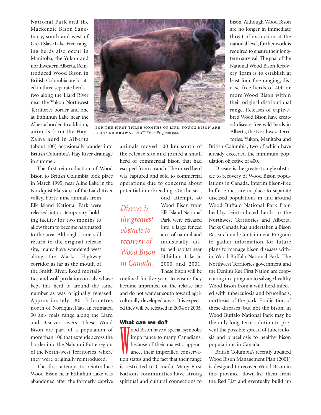National Park and the Mackenzie Bison Sanctuary, south and west of Great Slave Lake. Free-ranging herds also occur in Manitoba, the Yukon and northwestern Alberta. Reintroduced Wood Bison in British Columbia are located in three separate herds – two along the Liard River near the Yukon-Northwest Territories border and one at Etthithun Lake near the Alberta border. In addition, animals from the Hay-Zama herd in Alberta



FOR THE FIRST THREE MONTHS OF LIFE, YOUNG BISON ARE **REDDISH BROWN.** NWT Bison Program photo

(about 100) occasionally wander into British Columbia's Hay River drainage in summer.

The first reintroduction of Wood Bison to British Columbia took place in March 1995, near Aline Lake in the Nordquist Flats area of the Liard River

valley. Forty-nine animals from Elk Island National Park were released into a temporary holding facility for two months to allow them to become habituated to the area. Although some still return to the original release site, many have wandered west along the Alaska Highway corridor as far as the mouth of the Smith River. Road mortali-

ties and wolf predation on calves have kept this herd to around the same number as was originally released. Approx-imately 80 kilometres north of Nordquist Flats, an estimated 30 ani- mals range along the Liard and Bea-ver rivers. These Wood Bison are part of a population of more than 100 that extends across the border into the Nahanni Butte region of the North-west Territories, where they were originally reintroduced.

The first attempt to reintroduce Wood Bison near Etthithun Lake was abandoned after the formerly captive animals moved 100 km south of the release site and joined a small herd of commercial bison that had escaped from a ranch. The mixed herd was captured and sold to commercial operations due to concerns about potential interbreeding. On the sec-

*Disease is the greatest obstacle to recovery of Wood Bison in Canada.*

ond attempt, 40 Wood Bison from Elk Island National Park were released into a large fenced area of natural and industrially disturbed habitat near Etthithun Lake in 2000 and 2001. These bison will be

confined for five years to ensure they become imprinted on the release site and do not wander south toward agriculturally developed areas. It is expected they will be released in 2004 or 2005.

#### What can we do?

W ood Bison have a special symbolic importance to many Canadians, because of their majestic appearance, their imperilled conservation status and the fact that their range is restricted to Canada. Many First Nations communities have strong spiritual and cultural connections to bison. Although Wood Bison are no longer in immediate threat of extinction at the national level, further work is required to ensure their longterm survival. The goal of the National Wood Bison Recovery Team is to establish at least four free-ranging, disease-free herds of 400 or more Wood Bison within their original distributional range. Releases of captivebred Wood Bison have created disease-free wild herds in Alberta, the Northwest Territories, Yukon, Manitoba and

British Columbia, two of which have already exceeded the minimum population objective of 400.

Disease is the greatest single obstacle to recovery of Wood Bison populations in Canada. Interim bison-free buffer zones are in place to separate diseased populations in and around Wood Buffalo National Park from healthy reintroduced herds in the Northwest Territories and Alberta. Parks Canada has undertaken a Bison Research and Containment Program to gather information for future plans to manage bison diseases within Wood Buffalo National Park. The Northwest Territories government and the Deninu Kue First Nation are cooperating in a program to salvage healthy Wood Bison from a wild herd infected with tuberculosis and brucellosis, northeast of the park. Eradication of these diseases, but not the bison, in Wood Buffalo National Park may be the only long-term solution to prevent the possible spread of tuberculosis and brucellosis to healthy bison populations in Canada.

British Columbia's recently updated Wood Bison Management Plan (2001) is designed to recover Wood Bison in this province, down-list them from the Red List and eventually build up